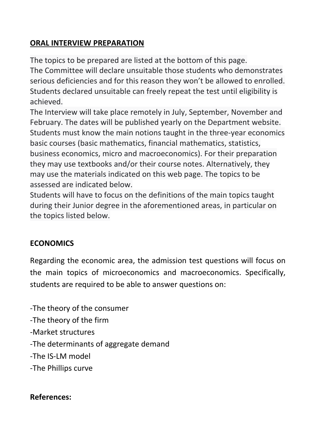### **ORAL INTERVIEW PREPARATION**

The topics to be prepared are listed at the bottom of this page. The Committee will declare unsuitable those students who demonstrates serious deficiencies and for this reason they won't be allowed to enrolled. Students declared unsuitable can freely repeat the test until eligibility is achieved.

The Interview will take place remotely in July, September, November and February. The dates will be published yearly on the Department website. Students must know the main notions taught in the three-year economics basic courses (basic mathematics, financial mathematics, statistics, business economics, micro and macroeconomics). For their preparation they may use textbooks and/or their course notes. Alternatively, they may use the materials indicated on this web page. The topics to be assessed are indicated below.

Students will have to focus on the definitions of the main topics taught during their Junior degree in the aforementioned areas, in particular on the topics listed below.

#### **ECONOMICS**

Regarding the economic area, the admission test questions will focus on the main topics of microeconomics and macroeconomics. Specifically, students are required to be able to answer questions on:

-The theory of the consumer -The theory of the firm -Market structures -The determinants of aggregate demand -The IS-LM model -The Phillips curve

#### **References:**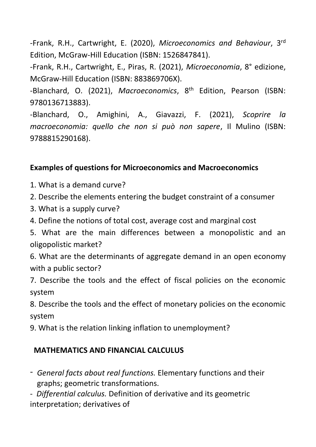-Frank, R.H., Cartwright, E. (2020), *Microeconomics and Behaviour*, 3rd Edition, McGraw-Hill Education (ISBN: 1526847841).

-Frank, R.H., Cartwright, E., Piras, R. (2021), *Microeconomia*, 8° edizione, McGraw-Hill Education (ISBN: 883869706X).

-Blanchard, O. (2021), *Macroeconomics*, 8th Edition, Pearson (ISBN: 9780136713883).

-Blanchard, O., Amighini, A., Giavazzi, F. (2021), *Scoprire la macroeconomia: quello che non si può non sapere*, Il Mulino (ISBN: 9788815290168).

# **Examples of questions for Microeconomics and Macroeconomics**

- 1. What is a demand curve?
- 2. Describe the elements entering the budget constraint of a consumer
- 3. What is a supply curve?
- 4. Define the notions of total cost, average cost and marginal cost

5. What are the main differences between a monopolistic and an oligopolistic market?

6. What are the determinants of aggregate demand in an open economy with a public sector?

7. Describe the tools and the effect of fiscal policies on the economic system

8. Describe the tools and the effect of monetary policies on the economic system

9. What is the relation linking inflation to unemployment?

# **MATHEMATICS AND FINANCIAL CALCULUS**

- *General facts about real functions.* Elementary functions and their graphs; geometric transformations.

- *Differential calculus.* Definition of derivative and its geometric interpretation; derivatives of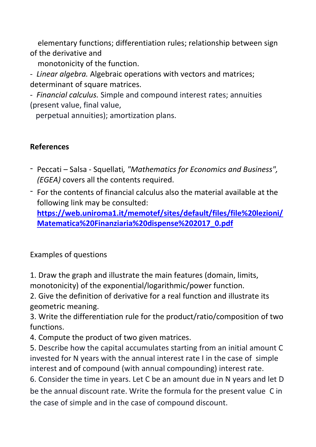elementary functions; differentiation rules; relationship between sign of the derivative and

monotonicity of the function.

- *Linear algebra.* Algebraic operations with vectors and matrices; determinant of square matrices.

- *Financial calculus.* Simple and compound interest rates; annuities (present value, final value,

perpetual annuities); amortization plans.

# **References**

- Peccati Salsa Squellati*, "Mathematics for Economics and Business", (EGEA)* covers all the contents required.
- For the contents of financial calculus also the material available at the following link may be consulted:

**[https://web.uniroma1.it/memotef/sites/default/files/file%20lezioni/](https://web.uniroma1.it/memotef/sites/default/files/file%2520lezioni/Matematica%2520Finanziaria%2520dispense%25202017_0.pdf) [Matematica%20Finanziaria%20dispense%202017\\_0.pdf](https://web.uniroma1.it/memotef/sites/default/files/file%2520lezioni/Matematica%2520Finanziaria%2520dispense%25202017_0.pdf)**

Examples of questions

1. Draw the graph and illustrate the main features (domain, limits, monotonicity) of the exponential/logarithmic/power function.

2. Give the definition of derivative for a real function and illustrate its geometric meaning.

3. Write the differentiation rule for the product/ratio/composition of two functions.

4. Compute the product of two given matrices.

5. Describe how the capital accumulates starting from an initial amount C invested for N years with the annual interest rate I in the case of simple interest and of compound (with annual compounding) interest rate.

6. Consider the time in years. Let C be an amount due in N years and let D be the annual discount rate. Write the formula for the present value C in the case of simple and in the case of compound discount.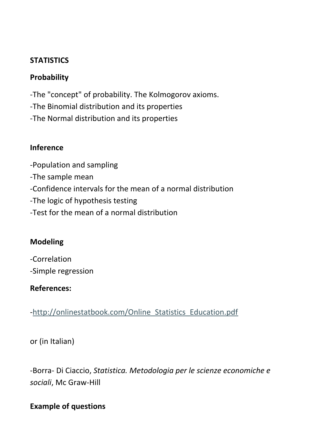#### **STATISTICS**

# **Probability**

-The "concept" of probability. The Kolmogorov axioms.

- -The Binomial distribution and its properties
- -The Normal distribution and its properties

### **Inference**

- -Population and sampling
- -The sample mean
- -Confidence intervals for the mean of a normal distribution
- -The logic of hypothesis testing
- -Test for the mean of a normal distribution

### **Modeling**

- -Correlation
- -Simple regression

### **References:**

[-http://onlinestatbook.com/Online\\_Statistics\\_Education.pdf](http://onlinestatbook.com/Online_Statistics_Education.pdf)

or (in Italian)

-Borra- Di Ciaccio, *Statistica. Metodologia per le scienze economiche e sociali*, Mc Graw-Hill

### **Example of questions**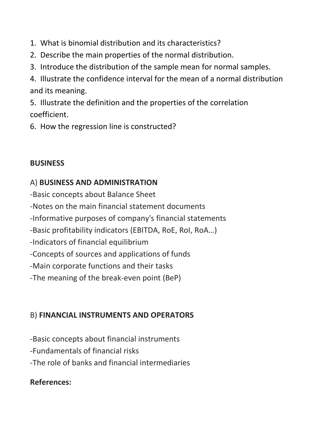1. What is binomial distribution and its characteristics?

- 2. Describe the main properties of the normal distribution.
- 3. Introduce the distribution of the sample mean for normal samples.

4. Illustrate the confidence interval for the mean of a normal distribution and its meaning.

5. Illustrate the definition and the properties of the correlation coefficient.

6. How the regression line is constructed?

#### **BUSINESS**

#### A) **BUSINESS AND ADMINISTRATION**

-Basic concepts about Balance Sheet -Notes on the main financial statement documents -Informative purposes of company's financial statements -Basic profitability indicators (EBITDA, RoE, RoI, RoA…) -Indicators of financial equilibrium -Concepts of sources and applications of funds -Main corporate functions and their tasks -The meaning of the break-even point (BeP)

### B) **FINANCIAL INSTRUMENTS AND OPERATORS**

- -Basic concepts about financial instruments
- -Fundamentals of financial risks
- -The role of banks and financial intermediaries

### **References:**